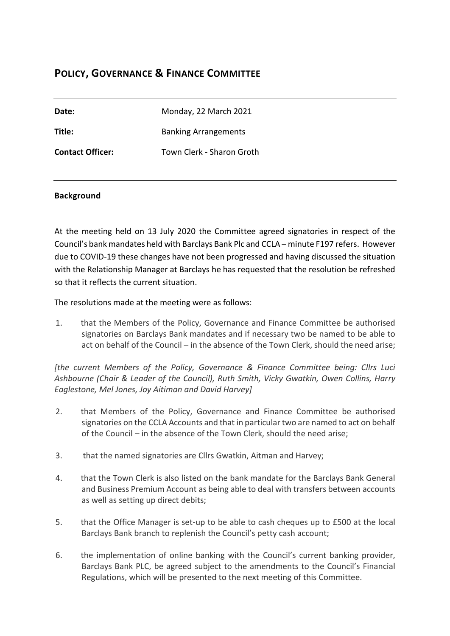# **POLICY, GOVERNANCE & FINANCE COMMITTEE**

| Date:                   | Monday, 22 March 2021       |
|-------------------------|-----------------------------|
| Title:                  | <b>Banking Arrangements</b> |
| <b>Contact Officer:</b> | Town Clerk - Sharon Groth   |

# **Background**

At the meeting held on 13 July 2020 the Committee agreed signatories in respect of the Council's bank mandates held with Barclays Bank Plc and CCLA – minute F197 refers. However due to COVID-19 these changes have not been progressed and having discussed the situation with the Relationship Manager at Barclays he has requested that the resolution be refreshed so that it reflects the current situation.

The resolutions made at the meeting were as follows:

1. that the Members of the Policy, Governance and Finance Committee be authorised signatories on Barclays Bank mandates and if necessary two be named to be able to act on behalf of the Council – in the absence of the Town Clerk, should the need arise;

*[the current Members of the Policy, Governance & Finance Committee being: Cllrs Luci Ashbourne (Chair & Leader of the Council), Ruth Smith, Vicky Gwatkin, Owen Collins, Harry Eaglestone, Mel Jones, Joy Aitiman and David Harvey]*

- 2. that Members of the Policy, Governance and Finance Committee be authorised signatories on the CCLA Accounts and that in particular two are named to act on behalf of the Council – in the absence of the Town Clerk, should the need arise;
- 3. that the named signatories are Cllrs Gwatkin, Aitman and Harvey;
- 4. that the Town Clerk is also listed on the bank mandate for the Barclays Bank General and Business Premium Account as being able to deal with transfers between accounts as well as setting up direct debits;
- 5. that the Office Manager is set-up to be able to cash cheques up to £500 at the local Barclays Bank branch to replenish the Council's petty cash account;
- 6. the implementation of online banking with the Council's current banking provider, Barclays Bank PLC, be agreed subject to the amendments to the Council's Financial Regulations, which will be presented to the next meeting of this Committee.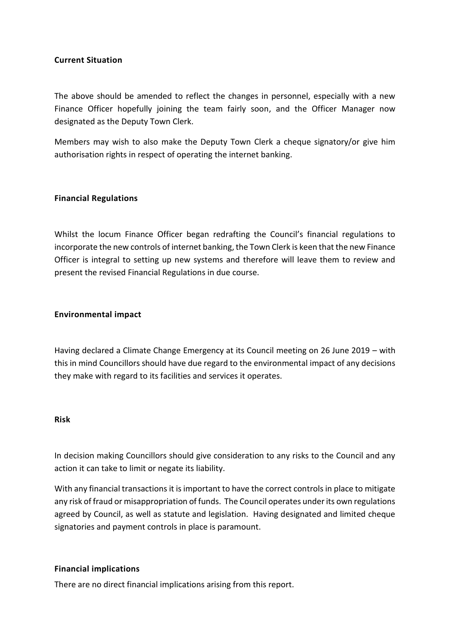# **Current Situation**

The above should be amended to reflect the changes in personnel, especially with a new Finance Officer hopefully joining the team fairly soon, and the Officer Manager now designated as the Deputy Town Clerk.

Members may wish to also make the Deputy Town Clerk a cheque signatory/or give him authorisation rights in respect of operating the internet banking.

# **Financial Regulations**

Whilst the locum Finance Officer began redrafting the Council's financial regulations to incorporate the new controls of internet banking, the Town Clerk is keen that the new Finance Officer is integral to setting up new systems and therefore will leave them to review and present the revised Financial Regulations in due course.

### **Environmental impact**

Having declared a Climate Change Emergency at its Council meeting on 26 June 2019 – with this in mind Councillors should have due regard to the environmental impact of any decisions they make with regard to its facilities and services it operates.

#### **Risk**

In decision making Councillors should give consideration to any risks to the Council and any action it can take to limit or negate its liability.

With any financial transactions it is important to have the correct controls in place to mitigate any risk of fraud or misappropriation of funds. The Council operates under its own regulations agreed by Council, as well as statute and legislation. Having designated and limited cheque signatories and payment controls in place is paramount.

### **Financial implications**

There are no direct financial implications arising from this report.